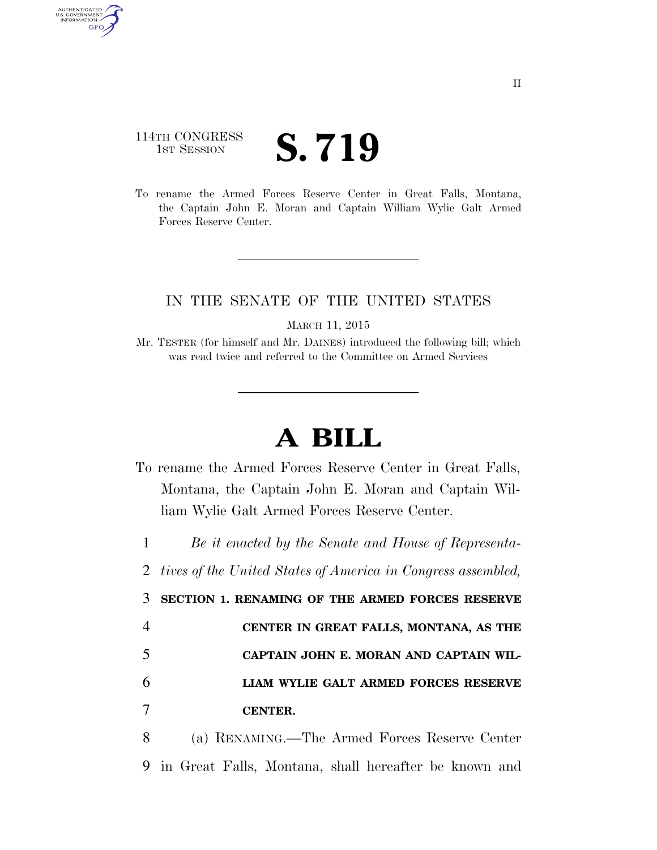## 114TH CONGRESS **IST SESSION S. 719**

AUTHENTICATED<br>U.S. GOVERNMENT<br>INFORMATION GPO

> To rename the Armed Forces Reserve Center in Great Falls, Montana, the Captain John E. Moran and Captain William Wylie Galt Armed Forces Reserve Center.

## IN THE SENATE OF THE UNITED STATES

MARCH 11, 2015

Mr. TESTER (for himself and Mr. DAINES) introduced the following bill; which was read twice and referred to the Committee on Armed Services

## **A BILL**

To rename the Armed Forces Reserve Center in Great Falls, Montana, the Captain John E. Moran and Captain William Wylie Galt Armed Forces Reserve Center.

1 *Be it enacted by the Senate and House of Representa-*

2 *tives of the United States of America in Congress assembled,* 

3 **SECTION 1. RENAMING OF THE ARMED FORCES RESERVE** 

|    | CENTER IN GREAT FALLS, MONTANA, AS THE |
|----|----------------------------------------|
| -5 | CAPTAIN JOHN E. MORAN AND CAPTAIN WIL- |
| 6  | LIAM WYLIE GALT ARMED FORCES RESERVE   |
|    | CENTER.                                |

8 (a) RENAMING.—The Armed Forces Reserve Center 9 in Great Falls, Montana, shall hereafter be known and